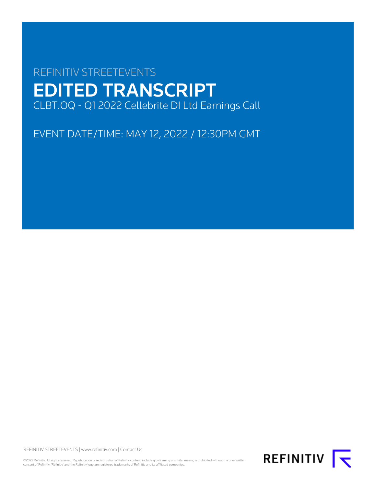# REFINITIV STREETEVENTS EDITED TRANSCRIPT CLBT.OQ - Q1 2022 Cellebrite DI Ltd Earnings Call

EVENT DATE/TIME: MAY 12, 2022 / 12:30PM GMT

REFINITIV STREETEVENTS | [www.refinitiv.com](https://www.refinitiv.com/) | [Contact Us](https://www.refinitiv.com/en/contact-us)

©2022 Refinitiv. All rights reserved. Republication or redistribution of Refinitiv content, including by framing or similar means, is prohibited without the prior written<br>consent of Refinitiv. 'Refinitiv' and the Refinitiv

REFINITIV **K**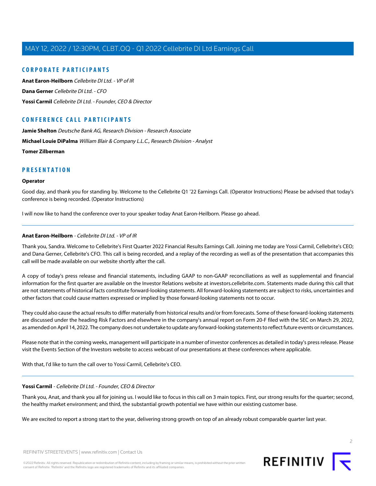# **CORPORATE PARTICIPANTS**

**[Anat Earon-Heilborn](#page-1-0)** Cellebrite DI Ltd. - VP of IR **[Dana Gerner](#page-3-0)** Cellebrite DI Ltd. - CFO **[Yossi Carmil](#page-1-1)** Cellebrite DI Ltd. - Founder, CEO & Director

# **CONFERENCE CALL PARTICIPANTS**

**[Jamie Shelton](#page-5-0)** Deutsche Bank AG, Research Division - Research Associate

**[Michael Louie DiPalma](#page-6-0)** William Blair & Company L.L.C., Research Division - Analyst

**[Tomer Zilberman](#page-5-1)**

# **PRESENTATION**

#### **Operator**

Good day, and thank you for standing by. Welcome to the Cellebrite Q1 '22 Earnings Call. (Operator Instructions) Please be advised that today's conference is being recorded. (Operator Instructions)

<span id="page-1-0"></span>I will now like to hand the conference over to your speaker today Anat Earon-Heilborn. Please go ahead.

#### **Anat Earon-Heilborn** - Cellebrite DI Ltd. - VP of IR

Thank you, Sandra. Welcome to Cellebrite's First Quarter 2022 Financial Results Earnings Call. Joining me today are Yossi Carmil, Cellebrite's CEO; and Dana Gerner, Cellebrite's CFO. This call is being recorded, and a replay of the recording as well as of the presentation that accompanies this call will be made available on our website shortly after the call.

A copy of today's press release and financial statements, including GAAP to non-GAAP reconciliations as well as supplemental and financial information for the first quarter are available on the Investor Relations website at investors.cellebrite.com. Statements made during this call that are not statements of historical facts constitute forward-looking statements. All forward-looking statements are subject to risks, uncertainties and other factors that could cause matters expressed or implied by those forward-looking statements not to occur.

They could also cause the actual results to differ materially from historical results and/or from forecasts. Some of these forward-looking statements are discussed under the heading Risk Factors and elsewhere in the company's annual report on Form 20-F filed with the SEC on March 29, 2022, as amended on April 14, 2022. The company does not undertake to update any forward-looking statements to reflect future events or circumstances.

<span id="page-1-1"></span>Please note that in the coming weeks, management will participate in a number of investor conferences as detailed in today's press release. Please visit the Events Section of the Investors website to access webcast of our presentations at these conferences where applicable.

With that, I'd like to turn the call over to Yossi Carmil, Cellebrite's CEO.

# **Yossi Carmil** - Cellebrite DI Ltd. - Founder, CEO & Director

Thank you, Anat, and thank you all for joining us. I would like to focus in this call on 3 main topics. First, our strong results for the quarter; second, the healthy market environment; and third, the substantial growth potential we have within our existing customer base.

We are excited to report a strong start to the year, delivering strong growth on top of an already robust comparable quarter last year.

 $\supset$ 

REFINITIV STREETEVENTS | [www.refinitiv.com](https://www.refinitiv.com/) | [Contact Us](https://www.refinitiv.com/en/contact-us)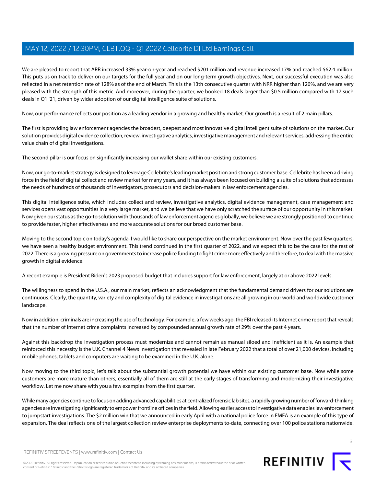We are pleased to report that ARR increased 33% year-on-year and reached \$201 million and revenue increased 17% and reached \$62.4 million. This puts us on track to deliver on our targets for the full year and on our long-term growth objectives. Next, our successful execution was also reflected in a net retention rate of 128% as of the end of March. This is the 13th consecutive quarter with NRR higher than 120%, and we are very pleased with the strength of this metric. And moreover, during the quarter, we booked 18 deals larger than \$0.5 million compared with 17 such deals in Q1 '21, driven by wider adoption of our digital intelligence suite of solutions.

Now, our performance reflects our position as a leading vendor in a growing and healthy market. Our growth is a result of 2 main pillars.

The first is providing law enforcement agencies the broadest, deepest and most innovative digital intelligent suite of solutions on the market. Our solution provides digital evidence collection, review, investigative analytics, investigative management and relevant services, addressing the entire value chain of digital investigations.

The second pillar is our focus on significantly increasing our wallet share within our existing customers.

Now, our go-to-market strategy is designed to leverage Cellebrite's leading market position and strong customer base. Cellebrite has been a driving force in the field of digital collect and review market for many years, and it has always been focused on building a suite of solutions that addresses the needs of hundreds of thousands of investigators, prosecutors and decision-makers in law enforcement agencies.

This digital intelligence suite, which includes collect and review, investigative analytics, digital evidence management, case management and services opens vast opportunities in a very large market, and we believe that we have only scratched the surface of our opportunity in this market. Now given our status as the go-to solution with thousands of law enforcement agencies globally, we believe we are strongly positioned to continue to provide faster, higher effectiveness and more accurate solutions for our broad customer base.

Moving to the second topic on today's agenda, I would like to share our perspective on the market environment. Now over the past few quarters, we have seen a healthy budget environment. This trend continued in the first quarter of 2022, and we expect this to be the case for the rest of 2022. There is a growing pressure on governments to increase police funding to fight crime more effectively and therefore, to deal with the massive growth in digital evidence.

A recent example is President Biden's 2023 proposed budget that includes support for law enforcement, largely at or above 2022 levels.

The willingness to spend in the U.S.A., our main market, reflects an acknowledgment that the fundamental demand drivers for our solutions are continuous. Clearly, the quantity, variety and complexity of digital evidence in investigations are all growing in our world and worldwide customer landscape.

Now in addition, criminals are increasing the use of technology. For example, a few weeks ago, the FBI released its Internet crime report that reveals that the number of Internet crime complaints increased by compounded annual growth rate of 29% over the past 4 years.

Against this backdrop the investigation process must modernize and cannot remain as manual siloed and inefficient as it is. An example that reinforced this necessity is the U.K. Channel 4 News investigation that revealed in late February 2022 that a total of over 21,000 devices, including mobile phones, tablets and computers are waiting to be examined in the U.K. alone.

Now moving to the third topic, let's talk about the substantial growth potential we have within our existing customer base. Now while some customers are more mature than others, essentially all of them are still at the early stages of transforming and modernizing their investigative workflow. Let me now share with you a few examples from the first quarter.

While many agencies continue to focus on adding advanced capabilities at centralized forensic lab sites, a rapidly growing number of forward-thinking agencies are investigating significantly to empower frontline offices in the field. Allowing earlier access to investigative data enables law enforcement to jumpstart investigations. The \$2 million win that we announced in early April with a national police force in EMEA is an example of this type of expansion. The deal reflects one of the largest collection review enterprise deployments to-date, connecting over 100 police stations nationwide.

3

REFINITIV STREETEVENTS | [www.refinitiv.com](https://www.refinitiv.com/) | [Contact Us](https://www.refinitiv.com/en/contact-us)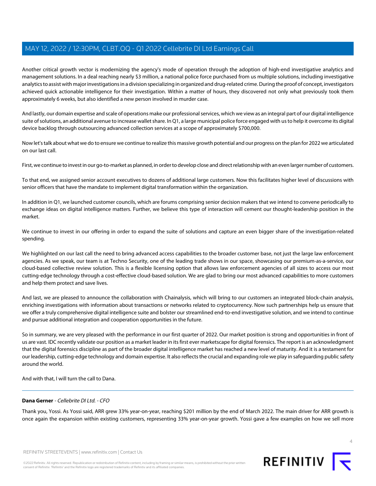Another critical growth vector is modernizing the agency's mode of operation through the adoption of high-end investigative analytics and management solutions. In a deal reaching nearly \$3 million, a national police force purchased from us multiple solutions, including investigative analytics to assist with major investigations in a division specializing in organized and drug-related crime. During the proof of concept, investigators achieved quick actionable intelligence for their investigation. Within a matter of hours, they discovered not only what previously took them approximately 6 weeks, but also identified a new person involved in murder case.

And lastly, our domain expertise and scale of operations make our professional services, which we view as an integral part of our digital intelligence suite of solutions, an additional avenue to increase wallet share. In Q1, a large municipal police force engaged with us to help it overcome its digital device backlog through outsourcing advanced collection services at a scope of approximately \$700,000.

Now let's talk about what we do to ensure we continue to realize this massive growth potential and our progress on the plan for 2022 we articulated on our last call.

First, we continue to invest in our go-to-market as planned, in order to develop close and direct relationship with an even larger number of customers.

To that end, we assigned senior account executives to dozens of additional large customers. Now this facilitates higher level of discussions with senior officers that have the mandate to implement digital transformation within the organization.

In addition in Q1, we launched customer councils, which are forums comprising senior decision makers that we intend to convene periodically to exchange ideas on digital intelligence matters. Further, we believe this type of interaction will cement our thought-leadership position in the market.

We continue to invest in our offering in order to expand the suite of solutions and capture an even bigger share of the investigation-related spending.

We highlighted on our last call the need to bring advanced access capabilities to the broader customer base, not just the large law enforcement agencies. As we speak, our team is at Techno Security, one of the leading trade shows in our space, showcasing our premium-as-a-service, our cloud-based collective review solution. This is a flexible licensing option that allows law enforcement agencies of all sizes to access our most cutting-edge technology through a cost-effective cloud-based solution. We are glad to bring our most advanced capabilities to more customers and help them protect and save lives.

And last, we are pleased to announce the collaboration with Chainalysis, which will bring to our customers an integrated block-chain analysis, enriching investigations with information about transactions or networks related to cryptocurrency. Now such partnerships help us ensure that we offer a truly comprehensive digital intelligence suite and bolster our streamlined end-to-end investigative solution, and we intend to continue and pursue additional integration and cooperation opportunities in the future.

So in summary, we are very pleased with the performance in our first quarter of 2022. Our market position is strong and opportunities in front of us are vast. IDC recently validate our position as a market leader in its first ever marketscape for digital forensics. The report is an acknowledgment that the digital forensics discipline as part of the broader digital intelligence market has reached a new level of maturity. And it is a testament for our leadership, cutting-edge technology and domain expertise. It also reflects the crucial and expanding role we play in safeguarding public safety around the world.

<span id="page-3-0"></span>And with that, I will turn the call to Dana.

# **Dana Gerner** - Cellebrite DI Ltd. - CFO

Thank you, Yossi. As Yossi said, ARR grew 33% year-on-year, reaching \$201 million by the end of March 2022. The main driver for ARR growth is once again the expansion within existing customers, representing 33% year-on-year growth. Yossi gave a few examples on how we sell more



©2022 Refinitiv. All rights reserved. Republication or redistribution of Refinitiv content, including by framing or similar means, is prohibited without the prior written consent of Refinitiv. 'Refinitiv' and the Refinitiv logo are registered trademarks of Refinitiv and its affiliated companies.

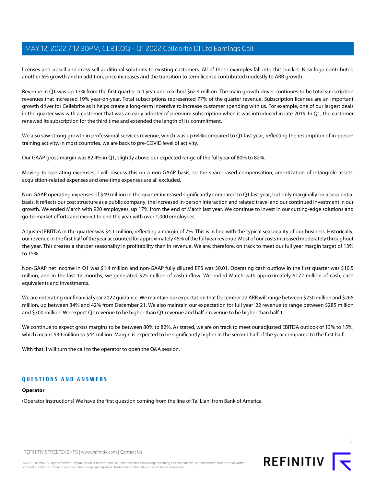licenses and upsell and cross-sell additional solutions to existing customers. All of these examples fall into this bucket. New logo contributed another 5% growth and in addition, price increases and the transition to term license contributed modestly to ARR growth.

Revenue in Q1 was up 17% from the first quarter last year and reached \$62.4 million. The main growth driver continues to be total subscription revenues that increased 19% year-on-year. Total subscriptions represented 77% of the quarter revenue. Subscription licenses are an important growth driver for Cellebrite as it helps create a long-term incentive to increase customer spending with us. For example, one of our largest deals in the quarter was with a customer that was an early adopter of premium subscription when it was introduced in late 2019. In Q1, the customer renewed its subscription for the third time and extended the length of its commitment.

We also saw strong growth in professional services revenue, which was up 64% compared to Q1 last year, reflecting the resumption of in-person training activity. In most countries, we are back to pre-COVID level of activity.

Our GAAP gross margin was 82.4% in Q1, slightly above our expected range of the full year of 80% to 82%.

Moving to operating expenses, I will discuss this on a non-GAAP basis, so the share-based compensation, amortization of intangible assets, acquisition-related expenses and one-time expenses are all excluded.

Non-GAAP operating expenses of \$49 million in the quarter increased significantly compared to Q1 last year, but only marginally on a sequential basis. It reflects our cost structure as a public company, the increased in-person interaction and related travel and our continued investment in our growth. We ended March with 920 employees, up 17% from the end of March last year. We continue to invest in our cutting-edge solutions and go-to-market efforts and expect to end the year with over 1,000 employees.

Adjusted EBITDA in the quarter was \$4.1 million, reflecting a margin of 7%. This is in line with the typical seasonality of our business. Historically, our revenue in the first half of the year accounted for approximately 45% of the full year revenue. Most of our costs increased moderately throughout the year. This creates a sharper seasonality in profitability than in revenue. We are, therefore, on track to meet our full year margin target of 13% to 15%.

Non-GAAP net income in Q1 was \$1.4 million and non-GAAP fully diluted EPS was \$0.01. Operating cash outflow in the first quarter was \$10.5 million, and in the last 12 months, we generated \$25 million of cash inflow. We ended March with approximately \$172 million of cash, cash equivalents and investments.

We are reiterating our financial year 2022 guidance. We maintain our expectation that December 22 ARR will range between \$250 million and \$265 million, up between 34% and 42% from December 21. We also maintain our expectation for full year '22 revenue to range between \$285 million and \$300 million. We expect Q2 revenue to be higher than Q1 revenue and half 2 revenue to be higher than half 1.

We continue to expect gross margins to be between 80% to 82%. As stated, we are on track to meet our adjusted EBITDA outlook of 13% to 15%, which means \$39 million to \$44 million. Margin is expected to be significantly higher in the second half of the year compared to the first half.

With that, I will turn the call to the operator to open the Q&A session.

# **QUESTIONS AND ANSWERS**

#### **Operator**

(Operator Instructions) We have the first question coming from the line of Tal Liani from Bank of America.

5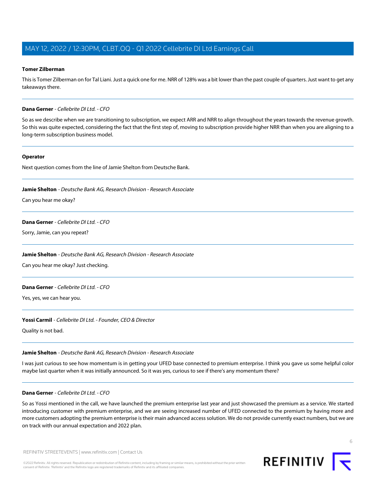#### <span id="page-5-1"></span>**Tomer Zilberman**

This is Tomer Zilberman on for Tal Liani. Just a quick one for me. NRR of 128% was a bit lower than the past couple of quarters. Just want to get any takeaways there.

#### **Dana Gerner** - Cellebrite DI Ltd. - CFO

So as we describe when we are transitioning to subscription, we expect ARR and NRR to align throughout the years towards the revenue growth. So this was quite expected, considering the fact that the first step of, moving to subscription provide higher NRR than when you are aligning to a long-term subscription business model.

#### **Operator**

<span id="page-5-0"></span>Next question comes from the line of Jamie Shelton from Deutsche Bank.

#### **Jamie Shelton** - Deutsche Bank AG, Research Division - Research Associate

Can you hear me okay?

## **Dana Gerner** - Cellebrite DI Ltd. - CFO

Sorry, Jamie, can you repeat?

#### **Jamie Shelton** - Deutsche Bank AG, Research Division - Research Associate

Can you hear me okay? Just checking.

#### **Dana Gerner** - Cellebrite DI Ltd. - CFO

Yes, yes, we can hear you.

# **Yossi Carmil** - Cellebrite DI Ltd. - Founder, CEO & Director

Quality is not bad.

#### **Jamie Shelton** - Deutsche Bank AG, Research Division - Research Associate

I was just curious to see how momentum is in getting your UFED base connected to premium enterprise. I think you gave us some helpful color maybe last quarter when it was initially announced. So it was yes, curious to see if there's any momentum there?

#### **Dana Gerner** - Cellebrite DI Ltd. - CFO

So as Yossi mentioned in the call, we have launched the premium enterprise last year and just showcased the premium as a service. We started introducing customer with premium enterprise, and we are seeing increased number of UFED connected to the premium by having more and more customers adopting the premium enterprise is their main advanced access solution. We do not provide currently exact numbers, but we are on track with our annual expectation and 2022 plan.



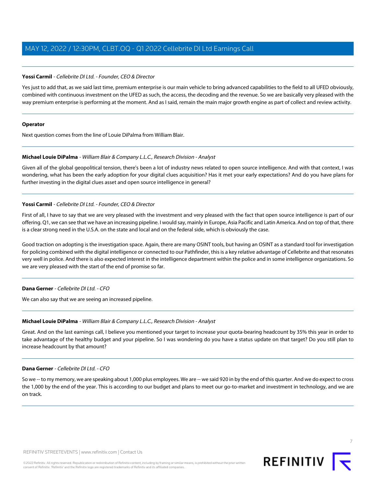## **Yossi Carmil** - Cellebrite DI Ltd. - Founder, CEO & Director

Yes just to add that, as we said last time, premium enterprise is our main vehicle to bring advanced capabilities to the field to all UFED obviously, combined with continuous investment on the UFED as such, the access, the decoding and the revenue. So we are basically very pleased with the way premium enterprise is performing at the moment. And as I said, remain the main major growth engine as part of collect and review activity.

#### **Operator**

<span id="page-6-0"></span>Next question comes from the line of Louie DiPalma from William Blair.

#### **Michael Louie DiPalma** - William Blair & Company L.L.C., Research Division - Analyst

Given all of the global geopolitical tension, there's been a lot of industry news related to open source intelligence. And with that context, I was wondering, what has been the early adoption for your digital clues acquisition? Has it met your early expectations? And do you have plans for further investing in the digital clues asset and open source intelligence in general?

# **Yossi Carmil** - Cellebrite DI Ltd. - Founder, CEO & Director

First of all, I have to say that we are very pleased with the investment and very pleased with the fact that open source intelligence is part of our offering. Q1, we can see that we have an increasing pipeline. I would say, mainly in Europe, Asia Pacific and Latin America. And on top of that, there is a clear strong need in the U.S.A. on the state and local and on the federal side, which is obviously the case.

Good traction on adopting is the investigation space. Again, there are many OSINT tools, but having an OSINT as a standard tool for investigation for policing combined with the digital intelligence or connected to our Pathfinder, this is a key relative advantage of Cellebrite and that resonates very well in police. And there is also expected interest in the intelligence department within the police and in some intelligence organizations. So we are very pleased with the start of the end of promise so far.

# **Dana Gerner** - Cellebrite DI Ltd. - CFO

We can also say that we are seeing an increased pipeline.

# **Michael Louie DiPalma** - William Blair & Company L.L.C., Research Division - Analyst

Great. And on the last earnings call, I believe you mentioned your target to increase your quota-bearing headcount by 35% this year in order to take advantage of the healthy budget and your pipeline. So I was wondering do you have a status update on that target? Do you still plan to increase headcount by that amount?

#### **Dana Gerner** - Cellebrite DI Ltd. - CFO

So we -- to my memory, we are speaking about 1,000 plus employees. We are -- we said 920 in by the end of this quarter. And we do expect to cross the 1,000 by the end of the year. This is according to our budget and plans to meet our go-to-market and investment in technology, and we are on track.



7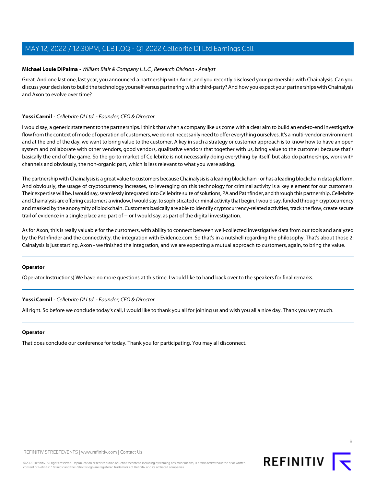## **Michael Louie DiPalma** - William Blair & Company L.L.C., Research Division - Analyst

Great. And one last one, last year, you announced a partnership with Axon, and you recently disclosed your partnership with Chainalysis. Can you discuss your decision to build the technology yourself versus partnering with a third-party? And how you expect your partnerships with Chainalysis and Axon to evolve over time?

## **Yossi Carmil** - Cellebrite DI Ltd. - Founder, CEO & Director

I would say, a generic statement to the partnerships. I think that when a company like us come with a clear aim to build an end-to-end investigative flow from the context of mode of operation of customers, we do not necessarily need to offer everything ourselves. It's a multi-vendor environment, and at the end of the day, we want to bring value to the customer. A key in such a strategy or customer approach is to know how to have an open system and collaborate with other vendors, good vendors, qualitative vendors that together with us, bring value to the customer because that's basically the end of the game. So the go-to-market of Cellebrite is not necessarily doing everything by itself, but also do partnerships, work with channels and obviously, the non-organic part, which is less relevant to what you were asking.

The partnership with Chainalysis is a great value to customers because Chainalysis is a leading blockchain - or has a leading blockchain data platform. And obviously, the usage of cryptocurrency increases, so leveraging on this technology for criminal activity is a key element for our customers. Their expertise will be, I would say, seamlessly integrated into Cellebrite suite of solutions, PA and Pathfinder, and through this partnership, Cellebrite and Chainalysis are offering customers a window, I would say, to sophisticated criminal activity that begin, I would say, funded through cryptocurrency and masked by the anonymity of blockchain. Customers basically are able to identify cryptocurrency-related activities, track the flow, create secure trail of evidence in a single place and part of -- or I would say, as part of the digital investigation.

As for Axon, this is really valuable for the customers, with ability to connect between well-collected investigative data from our tools and analyzed by the Pathfinder and the connectivity, the integration with Evidence.com. So that's in a nutshell regarding the philosophy. That's about those 2: Cainalysis is just starting, Axon - we finished the integration, and we are expecting a mutual approach to customers, again, to bring the value.

#### **Operator**

(Operator Instructions) We have no more questions at this time. I would like to hand back over to the speakers for final remarks.

#### **Yossi Carmil** - Cellebrite DI Ltd. - Founder, CEO & Director

All right. So before we conclude today's call, I would like to thank you all for joining us and wish you all a nice day. Thank you very much.

#### **Operator**

That does conclude our conference for today. Thank you for participating. You may all disconnect.

8